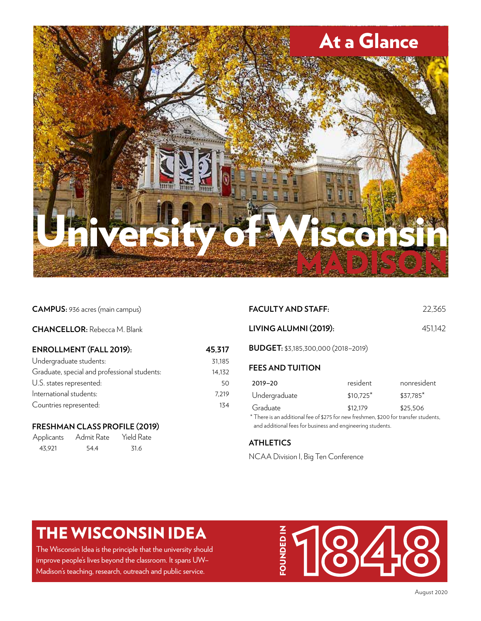

#### **CAMPUS:** 936 acres (main campus)

#### **CHANCELLOR:** Rebecca M. Blank

| <b>ENROLLMENT (FALL 2019):</b>               | 45,317 |  |
|----------------------------------------------|--------|--|
| Undergraduate students:                      | 31.185 |  |
| Graduate, special and professional students: | 14.132 |  |
| U.S. states represented:                     | 50     |  |
| International students:                      | 7.219  |  |
| Countries represented:                       | 134    |  |

### **FRESHMAN CLASS PROFILE (2019)**

| Applicants | Admit Rate | Yield Rate |
|------------|------------|------------|
| 43.921     | 54.4       | 31.6       |

| <b>FACULTY AND STAFF:</b>                                                                                                                                      |             | 22.365      |
|----------------------------------------------------------------------------------------------------------------------------------------------------------------|-------------|-------------|
| LIVING ALUMNI (2019):                                                                                                                                          |             | 451,142     |
| <b>BUDGET:</b> \$3,185,300,000 (2018-2019)                                                                                                                     |             |             |
| <b>FEES AND TUITION</b>                                                                                                                                        |             |             |
| $2019 - 20$                                                                                                                                                    | resident    | nonresident |
| Undergraduate                                                                                                                                                  | $$10,725$ * | \$37.785*   |
| Graduate<br>* There is an additional fee of \$275 for new freshmen, \$200 for transfer students,<br>and additional fees for business and engineering students. | \$12.179    | \$25,506    |

### **ATHLETICS**

NCAA Division I, Big Ten Conference

## THE WISCONSIN IDEA

The Wisconsin Idea is the principle that the university should improve people's lives beyond the classroom. It spans UW– Madison's teaching, research, outreach and public service.